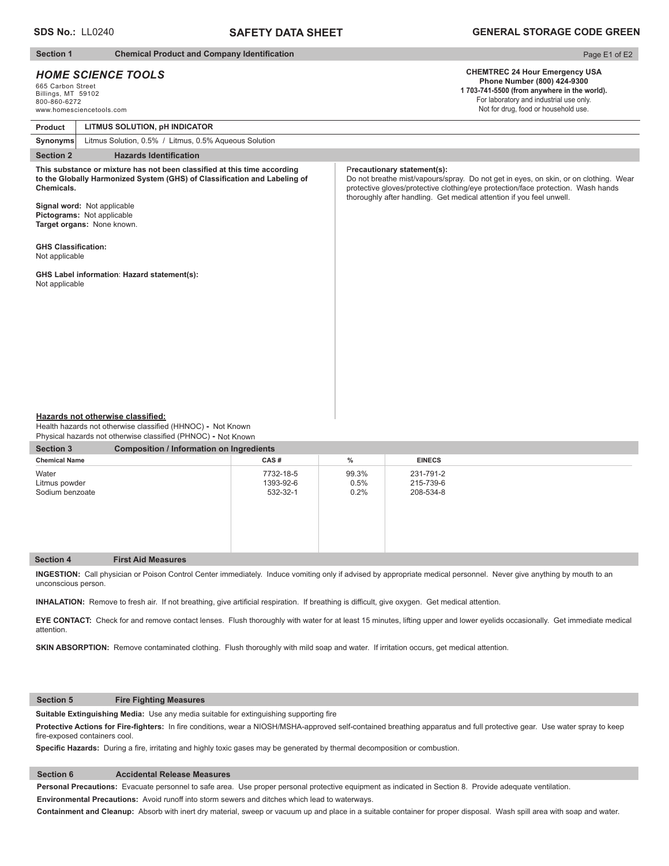#### **SAFETY DATA SHEET SDS No.:** LL0240 **GENERAL STORAGE CODE GREEN**

### **Section 1** Chemical Product and Company Identification

# *HOME SCIENCE TOOLS*

665 Carbon Street Billings, MT 59102 800-860-6272 www.homesciencetools.com

## Page E1 of E2

#### **CHEMTREC 24 Hour Emergency USA Phone Number (800) 424-9300 1 703-741-5500 (from anywhere in the world).** For laboratory and industrial use only.

Not for drug, food or household use.

| Product                                                                      | LITMUS SOLUTION, pH INDICATOR                                                                                                                                                                                                                                                                   |                                                                                                                                                                                                                                                                                 |
|------------------------------------------------------------------------------|-------------------------------------------------------------------------------------------------------------------------------------------------------------------------------------------------------------------------------------------------------------------------------------------------|---------------------------------------------------------------------------------------------------------------------------------------------------------------------------------------------------------------------------------------------------------------------------------|
| Synonyms                                                                     | Litmus Solution, 0.5% / Litmus, 0.5% Aqueous Solution                                                                                                                                                                                                                                           |                                                                                                                                                                                                                                                                                 |
| <b>Section 2</b>                                                             | <b>Hazards Identification</b>                                                                                                                                                                                                                                                                   |                                                                                                                                                                                                                                                                                 |
| Chemicals.<br><b>GHS Classification:</b><br>Not applicable<br>Not applicable | This substance or mixture has not been classified at this time according<br>to the Globally Harmonized System (GHS) of Classification and Labeling of<br>Signal word: Not applicable<br>Pictograms: Not applicable<br>Target organs: None known.<br>GHS Label information: Hazard statement(s): | Precautionary statement(s):<br>Do not breathe mist/vapours/spray. Do not get in eyes, on skin, or on clothing. Wear<br>protective gloves/protective clothing/eye protection/face protection. Wash hands<br>thoroughly after handling. Get medical attention if you feel unwell. |

#### **Hazards not otherwise classified:**

Health hazards not otherwise classified (HHNOC) - Not Known Physical hazards not otherwise classified (PHNOC) **-** Not Known

| <b>Section 3</b>                          | <b>Composition / Information on Ingredients</b> |                                    |                       |                                     |  |  |
|-------------------------------------------|-------------------------------------------------|------------------------------------|-----------------------|-------------------------------------|--|--|
| <b>Chemical Name</b>                      |                                                 | CAS#                               | %                     | <b>EINECS</b>                       |  |  |
| Water<br>Litmus powder<br>Sodium benzoate |                                                 | 7732-18-5<br>1393-92-6<br>532-32-1 | 99.3%<br>0.5%<br>0.2% | 231-791-2<br>215-739-6<br>208-534-8 |  |  |
| <b>Section 4</b>                          | <b>First Aid Measures</b>                       |                                    |                       |                                     |  |  |

**INGESTION:** Call physician or Poison Control Center immediately. Induce vomiting only if advised by appropriate medical personnel.Never give anything by mouth to an unconscious person.

INHALATION: Remove to fresh air. If not breathing, give artificial respiration. If breathing is difficult, give oxygen. Get medical attention.

**EYE CONTACT:** Check for and remove contact lenses. Flush thoroughly with water for at least 15 minutes, lifting upper and lower eyelids occasionally. Get immediate medical attention.

**SKIN ABSORPTION:** Remove contaminated clothing. Flush thoroughly with mild soap and water. If irritation occurs, get medical attention.

### **Section 5 Fire Fighting Measures**

Suitable Extinguishing Media: Use any media suitable for extinguishing supporting fire

Protective Actions for Fire-fighters: In fire conditions, wear a NIOSH/MSHA-approved self-contained breathing apparatus and full protective gear. Use water spray to keep fire-exposed containers cool.

Specific Hazards: During a fire, irritating and highly toxic gases may be generated by thermal decomposition or combustion.

### **Section 6 Accidental Release Measures**

**Personal Precautions:** Evacuate personnel to safe area. Use proper personal protective equipment as indicated in Section 8. Provide adequate ventilation.

**Environmental Precautions:** Avoid runoff into storm sewers and ditches which lead to waterways.

**Containment and Cleanup:** Absorb with inert dry material, sweep or vacuum up and place in a suitable container for proper disposal. Wash spill area with soap and water.